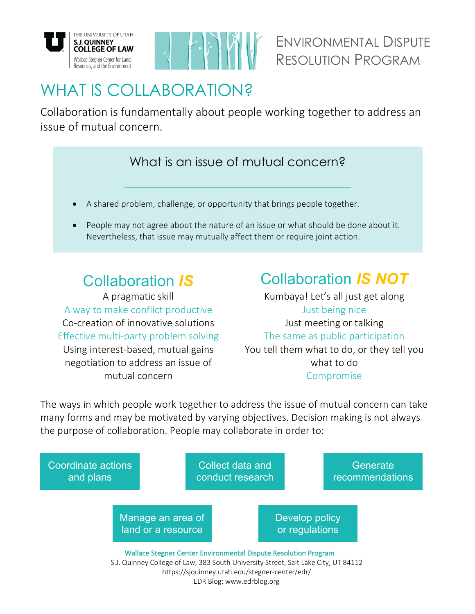



# WHAT IS COLLABORATION?

Collaboration is fundamentally about people working together to address an issue of mutual concern.

## What is an issue of mutual concern?

- A shared problem, challenge, or opportunity that brings people together.
- People may not agree about the nature of an issue or what should be done about it. Nevertheless, that issue may mutually affect them or require joint action.

A pragmatic skill A way to make conflict productive Co-creation of innovative solutions Effective multi-party problem solving Using interest-based, mutual gains negotiation to address an issue of mutual concern

## Collaboration *IS* Collaboration *IS NOT*

Kumbaya! Let's all just get along Just being nice Just meeting or talking The same as public participation You tell them what to do, or they tell you what to do Compromise

The ways in which people work together to address the issue of mutual concern can take many forms and may be motivated by varying objectives. Decision making is not always the purpose of collaboration. People may collaborate in order to: